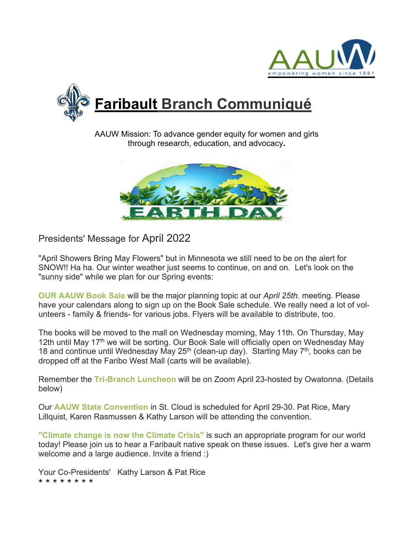



AAUW Mission: To advance gender equity for women and girls through research, education, and advocacy**.**



Presidents' Message for April 2022

"April Showers Bring May Flowers" but in Minnesota we still need to be on the alert for SNOW!! Ha ha. Our winter weather just seems to continue, on and on. Let's look on the "sunny side" while we plan for our Spring events:

**OUR AAUW Book Sale** will be the major planning topic at our *April 25th*. meeting. Please have your calendars along to sign up on the Book Sale schedule. We really need a lot of volunteers - family & friends- for various jobs. Flyers will be available to distribute, too.

The books will be moved to the mall on Wednesday morning, May 11th. On Thursday, May 12th until May 17<sup>th</sup> we will be sorting. Our Book Sale will officially open on Wednesday May 18 and continue until Wednesday May  $25<sup>th</sup>$  (clean-up day). Starting May  $7<sup>th</sup>$ , books can be dropped off at the Faribo West Mall (carts will be available).

Remember the **Tri-Branch Luncheon** will be on Zoom April 23-hosted by Owatonna. (Details below)

Our **AAUW State Convention** in St. Cloud is scheduled for April 29-30. Pat Rice, Mary Lillquist, Karen Rasmussen & Kathy Larson will be attending the convention.

**"Climate change is now the Climate Crisis"** is such an appropriate program for our world today! Please join us to hear a Faribault native speak on these issues. Let's give her a warm welcome and a large audience. Invite a friend :)

Your Co-Presidents' Kathy Larson & Pat Rice \* \* \* \* \* \* \* \*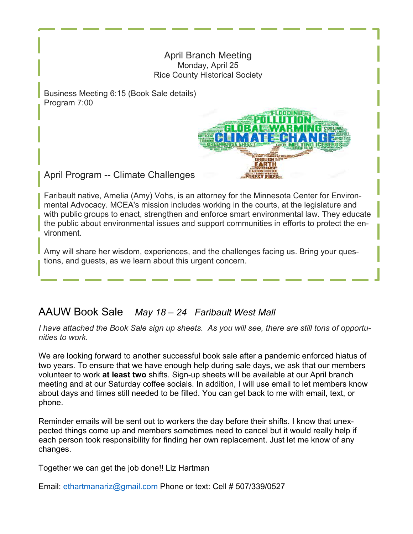### April Branch Meeting Monday, April 25 Rice County Historical Society

HEIMALE

Business Meeting 6:15 (Book Sale details) Program 7:00

April Program -- Climate Challenges

Faribault native, Amelia (Amy) Vohs, is an attorney for the Minnesota Center for Environmental Advocacy. MCEA's mission includes working in the courts, at the legislature and with public groups to enact, strengthen and enforce smart environmental law. They educate the public about environmental issues and support communities in efforts to protect the environment.

Amy will share her wisdom, experiences, and the challenges facing us. Bring your questions, and guests, as we learn about this urgent concern.

## AAUW Book Sale *May 18 – 24 Faribault West Mall*

*I have attached the Book Sale sign up sheets. As you will see, there are still tons of opportunities to work.* 

We are looking forward to another successful book sale after a pandemic enforced hiatus of two years. To ensure that we have enough help during sale days, we ask that our members volunteer to work **at least two** shifts. Sign-up sheets will be available at our April branch meeting and at our Saturday coffee socials. In addition, I will use email to let members know about days and times still needed to be filled. You can get back to me with email, text, or phone.

Reminder emails will be sent out to workers the day before their shifts. I know that unexpected things come up and members sometimes need to cancel but it would really help if each person took responsibility for finding her own replacement. Just let me know of any changes.

Together we can get the job done!! Liz Hartman

Email: ethartmanariz@gmail.com Phone or text: Cell # 507/339/0527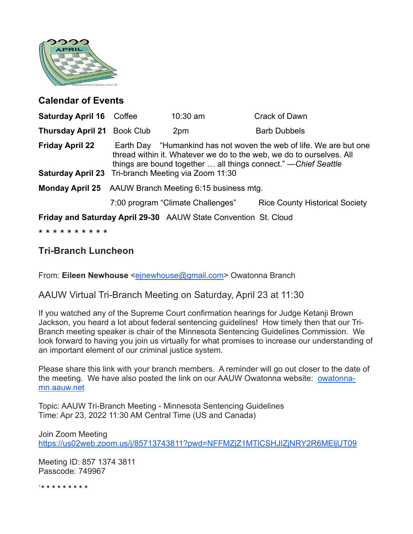

### **Calendar of Events**

| <b>Saturday April 16 Coffee</b>                                 |                                                                                                                                                                                                                                                                             | $10:30$ am                        | Crack of Dawn                         |
|-----------------------------------------------------------------|-----------------------------------------------------------------------------------------------------------------------------------------------------------------------------------------------------------------------------------------------------------------------------|-----------------------------------|---------------------------------------|
| <b>Thursday April 21</b>                                        | <b>Book Club</b>                                                                                                                                                                                                                                                            | 2pm                               | <b>Barb Dubbels</b>                   |
| <b>Friday April 22</b>                                          | Earth Day "Humankind has not woven the web of life. We are but one<br>thread within it. Whatever we do to the web, we do to ourselves. All<br>things are bound together  all things connect." — Chief Seattle<br><b>Saturday April 23</b> Tri-branch Meeting via Zoom 11:30 |                                   |                                       |
|                                                                 | Monday April 25 AAUW Branch Meeting 6:15 business mtg.                                                                                                                                                                                                                      |                                   |                                       |
|                                                                 |                                                                                                                                                                                                                                                                             | 7:00 program "Climate Challenges" | <b>Rice County Historical Society</b> |
| Friday and Saturday April 29-30 AAUW State Convention St. Cloud |                                                                                                                                                                                                                                                                             |                                   |                                       |
| * * * * * * * * * *                                             |                                                                                                                                                                                                                                                                             |                                   |                                       |

## **Tri-Branch Luncheon**

From: Eileen Newhouse <einewhouse@gmail.com> Owatonna Branch

### AAUW Virtual Tri-Branch Meeting on Saturday, April 23 at 11:30

If you watched any of the Supreme Court confirmation hearings for Judge Ketanji Brown Jackson, you heard a lot about federal sentencing guidelines! How timely then that our Tri-Branch meeting speaker is chair of the Minnesota Sentencing Guidelines Commission. We look forward to having you join us virtually for what promises to increase our understanding of an important element of our criminal justice system.

Please share this link with your branch members. A reminder will go out closer to the date of the meeting. We have also posted the link on our AAUW Owatonna website: owatonnamn.aauw.net

Topic: AAUW Tri-Branch Meeting - Minnesota Sentencing Guidelines Time: Apr 23, 2022 11:30 AM Central Time (US and Canada)

Join Zoom Meeting https://us02web.zoom.us/j/85713743811?pwd=NFFMZjZ1MTlCSHJIZjNRY2R6MEljUT09

Meeting ID: 857 1374 3811 Passcode: 749967

`\* \* \* \* \* \* \* \* \*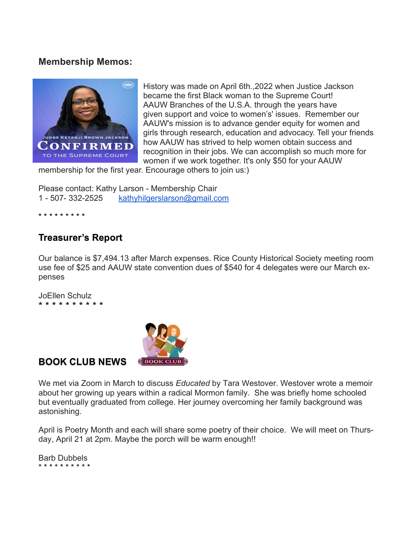### **Membership Memos:**



History was made on April 6th.,2022 when Justice Jackson became the first Black woman to the Supreme Court! AAUW Branches of the U.S.A. through the years have given support and voice to women's' issues. Remember our AAUW's mission is to advance gender equity for women and girls through research, education and advocacy. Tell your friends how AAUW has strived to help women obtain success and recognition in their jobs. We can accomplish so much more for women if we work together. It's only \$50 for your AAUW

membership for the first year. Encourage others to join us:)

Please contact: Kathy Larson - Membership Chair 1 - 507- 332-2525 kathyhilgerslarson@gmail.com

\* \* \* \* \* \* \* \* \*

### **Treasurer's Report**

Our balance is \$7,494.13 after March expenses. Rice County Historical Society meeting room use fee of \$25 and AAUW state convention dues of \$540 for 4 delegates were our March expenses

JoEllen Schulz \* \* \* \* \* \* \* \* \* \*



**BOOK CLUB NEWS** 

We met via Zoom in March to discuss *Educated* by Tara Westover. Westover wrote a memoir about her growing up years within a radical Mormon family. She was briefly home schooled but eventually graduated from college. Her journey overcoming her family background was astonishing.

April is Poetry Month and each will share some poetry of their choice. We will meet on Thursday, April 21 at 2pm. Maybe the porch will be warm enough!!

Barb Dubbels \* \* \* \* \* \* \* \* \* \*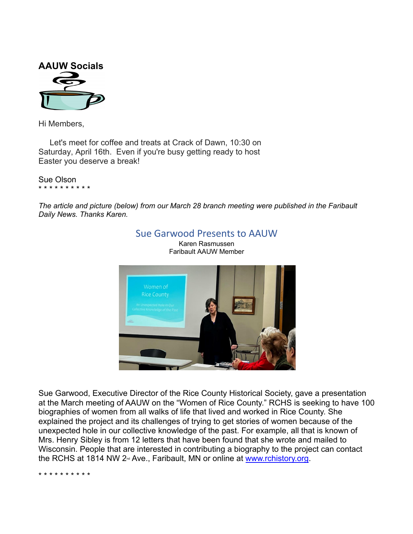

Hi Members,

Let's meet for coffee and treats at Crack of Dawn, 10:30 on Saturday, April 16th. Even if you're busy getting ready to host Easter you deserve a break!

Sue Olson \* \* \* \* \* \* \* \* \* \*

*The article and picture (below) from our March 28 branch meeting were published in the Faribault Daily News. Thanks Karen.*



Sue Garwood, Executive Director of the Rice County Historical Society, gave a presentation at the March meeting of AAUW on the "Women of Rice County." RCHS is seeking to have 100 biographies of women from all walks of life that lived and worked in Rice County. She explained the project and its challenges of trying to get stories of women because of the unexpected hole in our collective knowledge of the past. For example, all that is known of Mrs. Henry Sibley is from 12 letters that have been found that she wrote and mailed to Wisconsin. People that are interested in contributing a biography to the project can contact the RCHS at 1814 NW 2<sup>nd</sup> Ave., Faribault, MN or online at www.rchistory.org.

\* \* \* \* \* \* \* \* \* \*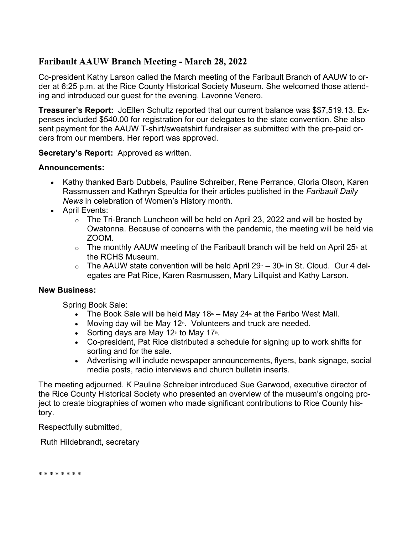### **Faribault AAUW Branch Meeting - March 28, 2022**

Co-president Kathy Larson called the March meeting of the Faribault Branch of AAUW to order at 6:25 p.m. at the Rice County Historical Society Museum. She welcomed those attending and introduced our guest for the evening, Lavonne Venero.

**Treasurer's Report:** JoEllen Schultz reported that our current balance was \$\$7,519.13. Expenses included \$540.00 for registration for our delegates to the state convention. She also sent payment for the AAUW T-shirt/sweatshirt fundraiser as submitted with the pre-paid orders from our members. Her report was approved.

**Secretary's Report:** Approved as written.

### **Announcements:**

- Kathy thanked Barb Dubbels, Pauline Schreiber, Rene Perrance, Gloria Olson, Karen Rassmussen and Kathryn Speulda for their articles published in the *Faribault Daily News* in celebration of Women's History month.
- April Events:
	- $\circ$  The Tri-Branch Luncheon will be held on April 23, 2022 and will be hosted by Owatonna. Because of concerns with the pandemic, the meeting will be held via ZOOM.
	- $\circ$  The monthly AAUW meeting of the Faribault branch will be held on April 25<sup>th</sup> at the RCHS Museum.
	- $\circ$  The AAUW state convention will be held April 29 $\text{m}$  30 $\text{m}$  in St. Cloud. Our 4 delegates are Pat Rice, Karen Rasmussen, Mary Lillquist and Kathy Larson.

### **New Business:**

Spring Book Sale:

- The Book Sale will be held May 18 $\text{m}$  May 24 $\text{m}$  at the Faribo West Mall.
- Moving day will be May 12<sup>th</sup>. Volunteers and truck are needed.
- Sorting days are May 12<sup>th</sup> to May 17<sup>th</sup>.
- Co-president, Pat Rice distributed a schedule for signing up to work shifts for sorting and for the sale.
- Advertising will include newspaper announcements, flyers, bank signage, social media posts, radio interviews and church bulletin inserts.

The meeting adjourned. K Pauline Schreiber introduced Sue Garwood, executive director of the Rice County Historical Society who presented an overview of the museum's ongoing project to create biographies of women who made significant contributions to Rice County history.

Respectfully submitted,

Ruth Hildebrandt, secretary

\* \* \* \* \* \* \* \*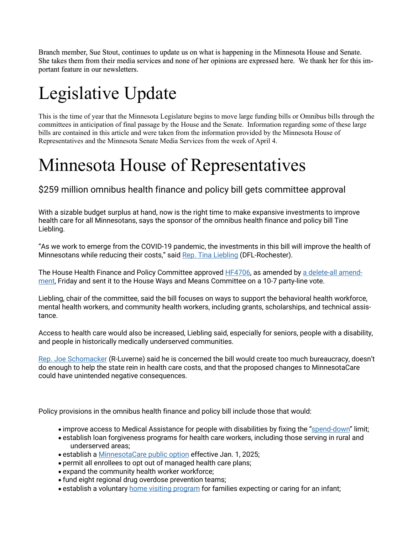Branch member, Sue Stout, continues to update us on what is happening in the Minnesota House and Senate. She takes them from their media services and none of her opinions are expressed here. We thank her for this important feature in our newsletters.

# Legislative Update

This is the time of year that the Minnesota Legislature begins to move large funding bills or Omnibus bills through the committees in anticipation of final passage by the House and the Senate. Information regarding some of these large bills are contained in this article and were taken from the information provided by the Minnesota House of Representatives and the Minnesota Senate Media Services from the week of April 4.

## Minnesota House of Representatives

\$259 million omnibus health finance and policy bill gets committee approval

With a sizable budget surplus at hand, now is the right time to make expansive investments to improve health care for all Minnesotans, says the sponsor of the omnibus health finance and policy bill Tine Liebling.

"As we work to emerge from the COVID-19 pandemic, the investments in this bill will improve the health of Minnesotans while reducing their costs," said Rep. Tina Liebling (DFL-Rochester).

The House Health Finance and Policy Committee approved HF4706, as amended by a delete-all amendment, Friday and sent it to the House Ways and Means Committee on a 10-7 party-line vote.

Liebling, chair of the committee, said the bill focuses on ways to support the behavioral health workforce, mental health workers, and community health workers, including grants, scholarships, and technical assistance.

Access to health care would also be increased, Liebling said, especially for seniors, people with a disability, and people in historically medically underserved communities.

Rep. Joe Schomacker (R-Luverne) said he is concerned the bill would create too much bureaucracy, doesn't do enough to help the state rein in health care costs, and that the proposed changes to MinnesotaCare could have unintended negative consequences.

Policy provisions in the omnibus health finance and policy bill include those that would:

- improve access to Medical Assistance for people with disabilities by fixing the "spend-down" limit;
- establish loan forgiveness programs for health care workers, including those serving in rural and underserved areas;
- establish a MinnesotaCare public option effective Jan. 1, 2025;
- permit all enrollees to opt out of managed health care plans;
- expand the community health worker workforce;
- fund eight regional drug overdose prevention teams;
- establish a voluntary home visiting program for families expecting or caring for an infant;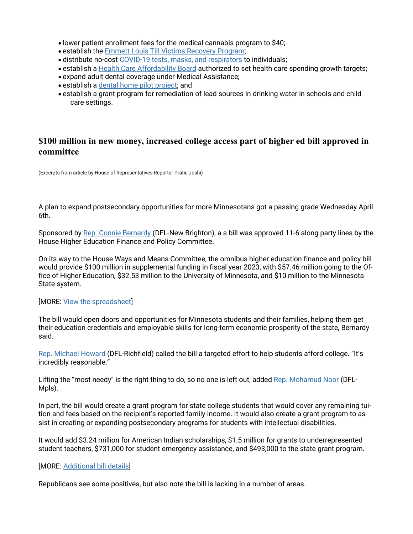- lower patient enrollment fees for the medical cannabis program to \$40;
- establish the Emmett Louis Till Victims Recovery Program;
- distribute no-cost COVID-19 tests, masks, and respirators to individuals;
- establish a Health Care Affordability Board authorized to set health care spending growth targets;
- expand adult dental coverage under Medical Assistance;
- establish a dental home pilot project; and
- establish a grant program for remediation of lead sources in drinking water in schools and child care settings.

### **\$100 million in new money, increased college access part of higher ed bill approved in committee**

(Excerpts from article by House of Representatives Reporter Pratic Joshi)

A plan to expand postsecondary opportunities for more Minnesotans got a passing grade Wednesday April 6th.

Sponsored by Rep. Connie Bernardy (DFL-New Brighton), a a bill was approved 11-6 along party lines by the House Higher Education Finance and Policy Committee.

On its way to the House Ways and Means Committee, the omnibus higher education finance and policy bill would provide \$100 million in supplemental funding in fiscal year 2023, with \$57.46 million going to the Office of Higher Education, \$32.53 million to the University of Minnesota, and \$10 million to the Minnesota State system.

#### [MORE: View the spreadsheet]

The bill would open doors and opportunities for Minnesota students and their families, helping them get their education credentials and employable skills for long-term economic prosperity of the state, Bernardy said.

Rep. Michael Howard (DFL-Richfield) called the bill a targeted effort to help students afford college. "It's incredibly reasonable."

Lifting the "most needy" is the right thing to do, so no one is left out, added Rep. Mohamud Noor (DFL-Mpls).

In part, the bill would create a grant program for state college students that would cover any remaining tuition and fees based on the recipient's reported family income. It would also create a grant program to assist in creating or expanding postsecondary programs for students with intellectual disabilities.

It would add \$3.24 million for American Indian scholarships, \$1.5 million for grants to underrepresented student teachers, \$731,000 for student emergency assistance, and \$493,000 to the state grant program.

#### [MORE: Additional bill details]

Republicans see some positives, but also note the bill is lacking in a number of areas.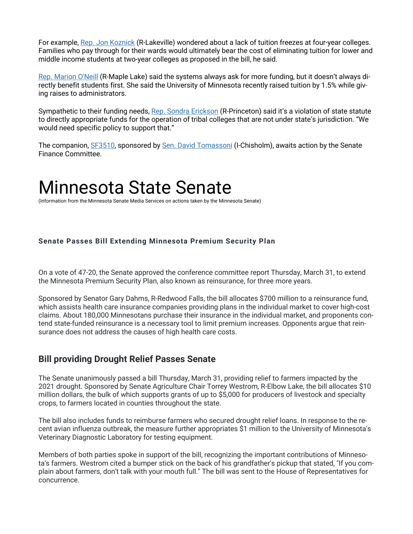For example, Rep. Jon Koznick (R-Lakeville) wondered about a lack of tuition freezes at four-year colleges. Families who pay through for their wards would ultimately bear the cost of eliminating tuition for lower and middle income students at two-year colleges as proposed in the bill, he said.

Rep. Marion O'Neill (R-Maple Lake) said the systems always ask for more funding, but it doesn't always directly benefit students first. She said the University of Minnesota recently raised tuition by 1.5% while giving raises to administrators.

Sympathetic to their funding needs, Rep. Sondra Erickson (R-Princeton) said it's a violation of state statute to directly appropriate funds for the operation of tribal colleges that are not under state's jurisdiction. "We would need specific policy to support that."

The companion, SF3510, sponsored by Sen. David Tomassoni (I-Chisholm), awaits action by the Senate Finance Committee.

## Minnesota State Senate

(Information from the Minnesota Senate Media Services on actions taken by the Minnesota Senate)

### **Senate Passes Bill Extending Minnesota Premium Security Plan**

On a vote of 47-20, the Senate approved the conference committee report Thursday, March 31, to extend the Minnesota Premium Security Plan, also known as reinsurance, for three more years.

Sponsored by Senator Gary Dahms, R-Redwood Falls, the bill allocates \$700 million to a reinsurance fund, which assists health care insurance companies providing plans in the individual market to cover high-cost claims. About 180,000 Minnesotans purchase their insurance in the individual market, and proponents contend state-funded reinsurance is a necessary tool to limit premium increases. Opponents argue that reinsurance does not address the causes of high health care costs.

### **Bill providing Drought Relief Passes Senate**

The Senate unanimously passed a bill Thursday, March 31, providing relief to farmers impacted by the 2021 drought. Sponsored by Senate Agriculture Chair Torrey Westrom, R-Elbow Lake, the bill allocates \$10 million dollars, the bulk of which supports grants of up to \$5,000 for producers of livestock and specialty crops, to farmers located in counties throughout the state.

The bill also includes funds to reimburse farmers who secured drought relief loans. In response to the recent avian influenza outbreak, the measure further appropriates \$1 million to the University of Minnesota's Veterinary Diagnostic Laboratory for testing equipment.

Members of both parties spoke in support of the bill, recognizing the important contributions of Minnesota's farmers. Westrom cited a bumper stick on the back of his grandfather's pickup that stated, "If you complain about farmers, don't talk with your mouth full." The bill was sent to the House of Representatives for concurrence.